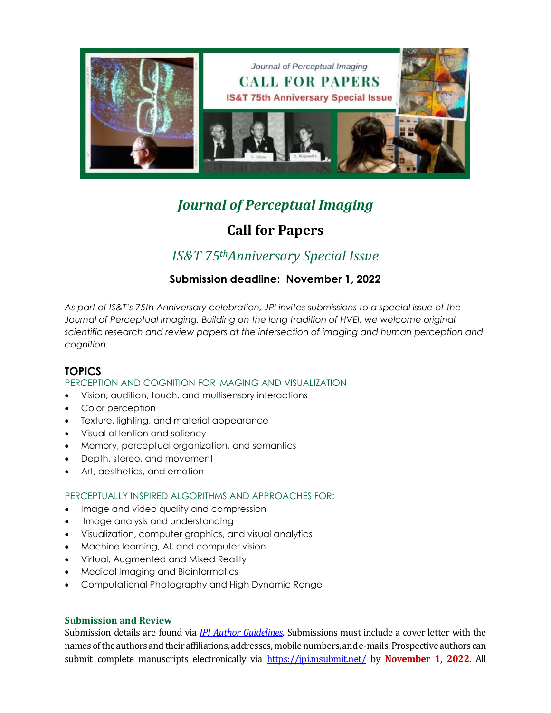

# *Journal of Perceptual Imaging*

# **Call for Papers**

# *IS&T 75thAnniversary Special Issue*

## **Submission deadline: November 1, 2022**

*As part of IS&T's 75th Anniversary celebration, JPI invites submissions to a special issue of the*  Journal of Perceptual Imaging. Building on the long tradition of HVEI, we welcome original *scientific research and review papers at the intersection of imaging and human perception and cognition.*

### **TOPICS**

### PERCEPTION AND COGNITION FOR IMAGING AND VISUALIZATION

- Vision, audition, touch, and multisensory interactions
- Color perception
- Texture, lighting, and material appearance
- Visual attention and saliency
- Memory, perceptual organization, and semantics
- Depth, stereo, and movement
- Art, aesthetics, and emotion

### PERCEPTUALLY INSPIRED ALGORITHMS AND APPROACHES FOR:

- Image and video quality and compression
- Image analysis and understanding
- Visualization, computer graphics, and visual analytics
- Machine learning, AI, and computer vision
- Virtual, Augmented and Mixed Reality
- Medical Imaging and Bioinformatics
- Computational Photography and High Dynamic Range

#### **Submission and Review**

Submission details are found via *[JPI Author Guidelines](https://www.imaging.org/Site/PDFS/JPI/JPI-Author-Guidelines.PDF)*. Submissions must include a cover letter with the names of the authors and their affiliations, addresses, mobile numbers, and e‐mails. Prospective authors can submit complete manuscripts electronically via <https://jpi.msubmit.net/> by **November 1, 2022**. All